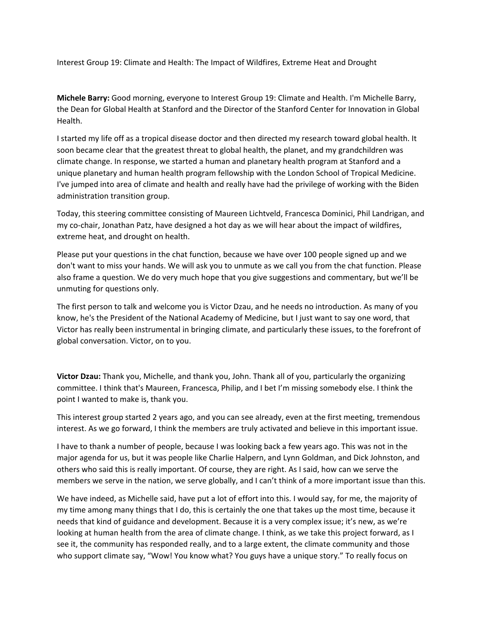Interest Group 19: Climate and Health: The Impact of Wildfires, Extreme Heat and Drought

**Michele Barry:** Good morning, everyone to Interest Group 19: Climate and Health. I'm Michelle Barry, the Dean for Global Health at Stanford and the Director of the Stanford Center for Innovation in Global Health.

I started my life off as a tropical disease doctor and then directed my research toward global health. It soon became clear that the greatest threat to global health, the planet, and my grandchildren was climate change. In response, we started a human and planetary health program at Stanford and a unique planetary and human health program fellowship with the London School of Tropical Medicine. I've jumped into area of climate and health and really have had the privilege of working with the Biden administration transition group.

Today, this steering committee consisting of Maureen Lichtveld, Francesca Dominici, Phil Landrigan, and my co‐chair, Jonathan Patz, have designed a hot day as we will hear about the impact of wildfires, extreme heat, and drought on health.

Please put your questions in the chat function, because we have over 100 people signed up and we don't want to miss your hands. We will ask you to unmute as we call you from the chat function. Please also frame a question. We do very much hope that you give suggestions and commentary, but we'll be unmuting for questions only.

The first person to talk and welcome you is Victor Dzau, and he needs no introduction. As many of you know, he's the President of the National Academy of Medicine, but I just want to say one word, that Victor has really been instrumental in bringing climate, and particularly these issues, to the forefront of global conversation. Victor, on to you.

**Victor Dzau:** Thank you, Michelle, and thank you, John. Thank all of you, particularly the organizing committee. I think that's Maureen, Francesca, Philip, and I bet I'm missing somebody else. I think the point I wanted to make is, thank you.

This interest group started 2 years ago, and you can see already, even at the first meeting, tremendous interest. As we go forward, I think the members are truly activated and believe in this important issue.

I have to thank a number of people, because I was looking back a few years ago. This was not in the major agenda for us, but it was people like Charlie Halpern, and Lynn Goldman, and Dick Johnston, and others who said this is really important. Of course, they are right. As I said, how can we serve the members we serve in the nation, we serve globally, and I can't think of a more important issue than this.

We have indeed, as Michelle said, have put a lot of effort into this. I would say, for me, the majority of my time among many things that I do, this is certainly the one that takes up the most time, because it needs that kind of guidance and development. Because it is a very complex issue; it's new, as we're looking at human health from the area of climate change. I think, as we take this project forward, as I see it, the community has responded really, and to a large extent, the climate community and those who support climate say, "Wow! You know what? You guys have a unique story." To really focus on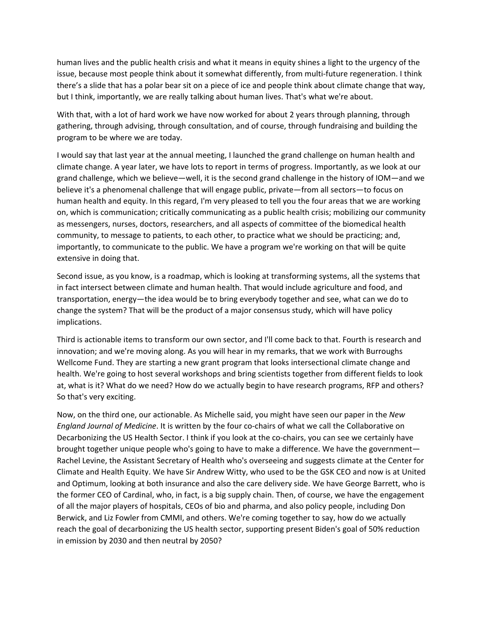human lives and the public health crisis and what it means in equity shines a light to the urgency of the issue, because most people think about it somewhat differently, from multi-future regeneration. I think there's a slide that has a polar bear sit on a piece of ice and people think about climate change that way, but I think, importantly, we are really talking about human lives. That's what we're about.

With that, with a lot of hard work we have now worked for about 2 years through planning, through gathering, through advising, through consultation, and of course, through fundraising and building the program to be where we are today.

I would say that last year at the annual meeting, I launched the grand challenge on human health and climate change. A year later, we have lots to report in terms of progress. Importantly, as we look at our grand challenge, which we believe—well, it is the second grand challenge in the history of IOM—and we believe it's a phenomenal challenge that will engage public, private—from all sectors—to focus on human health and equity. In this regard, I'm very pleased to tell you the four areas that we are working on, which is communication; critically communicating as a public health crisis; mobilizing our community as messengers, nurses, doctors, researchers, and all aspects of committee of the biomedical health community, to message to patients, to each other, to practice what we should be practicing; and, importantly, to communicate to the public. We have a program we're working on that will be quite extensive in doing that.

Second issue, as you know, is a roadmap, which is looking at transforming systems, all the systems that in fact intersect between climate and human health. That would include agriculture and food, and transportation, energy—the idea would be to bring everybody together and see, what can we do to change the system? That will be the product of a major consensus study, which will have policy implications.

Third is actionable items to transform our own sector, and I'll come back to that. Fourth is research and innovation; and we're moving along. As you will hear in my remarks, that we work with Burroughs Wellcome Fund. They are starting a new grant program that looks intersectional climate change and health. We're going to host several workshops and bring scientists together from different fields to look at, what is it? What do we need? How do we actually begin to have research programs, RFP and others? So that's very exciting.

Now, on the third one, our actionable. As Michelle said, you might have seen our paper in the *New England Journal of Medicine*. It is written by the four co‐chairs of what we call the Collaborative on Decarbonizing the US Health Sector. I think if you look at the co-chairs, you can see we certainly have brought together unique people who's going to have to make a difference. We have the government— Rachel Levine, the Assistant Secretary of Health who's overseeing and suggests climate at the Center for Climate and Health Equity. We have Sir Andrew Witty, who used to be the GSK CEO and now is at United and Optimum, looking at both insurance and also the care delivery side. We have George Barrett, who is the former CEO of Cardinal, who, in fact, is a big supply chain. Then, of course, we have the engagement of all the major players of hospitals, CEOs of bio and pharma, and also policy people, including Don Berwick, and Liz Fowler from CMMI, and others. We're coming together to say, how do we actually reach the goal of decarbonizing the US health sector, supporting present Biden's goal of 50% reduction in emission by 2030 and then neutral by 2050?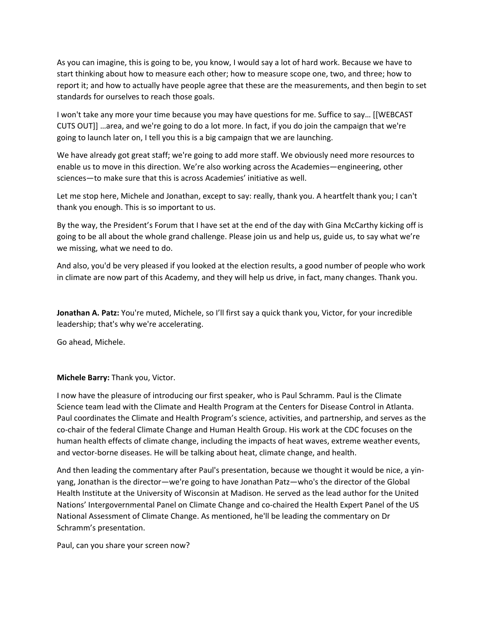As you can imagine, this is going to be, you know, I would say a lot of hard work. Because we have to start thinking about how to measure each other; how to measure scope one, two, and three; how to report it; and how to actually have people agree that these are the measurements, and then begin to set standards for ourselves to reach those goals.

I won't take any more your time because you may have questions for me. Suffice to say… [[WEBCAST CUTS OUT]] …area, and we're going to do a lot more. In fact, if you do join the campaign that we're going to launch later on, I tell you this is a big campaign that we are launching.

We have already got great staff; we're going to add more staff. We obviously need more resources to enable us to move in this direction. We're also working across the Academies—engineering, other sciences—to make sure that this is across Academies' initiative as well.

Let me stop here, Michele and Jonathan, except to say: really, thank you. A heartfelt thank you; I can't thank you enough. This is so important to us.

By the way, the President's Forum that I have set at the end of the day with Gina McCarthy kicking off is going to be all about the whole grand challenge. Please join us and help us, guide us, to say what we're we missing, what we need to do.

And also, you'd be very pleased if you looked at the election results, a good number of people who work in climate are now part of this Academy, and they will help us drive, in fact, many changes. Thank you.

**Jonathan A. Patz:** You're muted, Michele, so I'll first say a quick thank you, Victor, for your incredible leadership; that's why we're accelerating.

Go ahead, Michele.

**Michele Barry:** Thank you, Victor.

I now have the pleasure of introducing our first speaker, who is Paul Schramm. Paul is the Climate Science team lead with the Climate and Health Program at the Centers for Disease Control in Atlanta. Paul coordinates the Climate and Health Program's science, activities, and partnership, and serves as the co-chair of the federal Climate Change and Human Health Group. His work at the CDC focuses on the human health effects of climate change, including the impacts of heat waves, extreme weather events, and vector‐borne diseases. He will be talking about heat, climate change, and health.

And then leading the commentary after Paul's presentation, because we thought it would be nice, a yin‐ yang, Jonathan is the director—we're going to have Jonathan Patz—who's the director of the Global Health Institute at the University of Wisconsin at Madison. He served as the lead author for the United Nations' Intergovernmental Panel on Climate Change and co‐chaired the Health Expert Panel of the US National Assessment of Climate Change. As mentioned, he'll be leading the commentary on Dr Schramm's presentation.

Paul, can you share your screen now?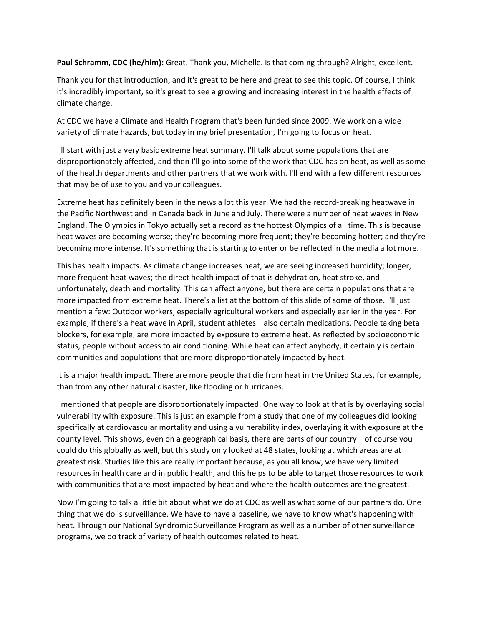**Paul Schramm, CDC (he/him):** Great. Thank you, Michelle. Is that coming through? Alright, excellent.

Thank you for that introduction, and it's great to be here and great to see this topic. Of course, I think it's incredibly important, so it's great to see a growing and increasing interest in the health effects of climate change.

At CDC we have a Climate and Health Program that's been funded since 2009. We work on a wide variety of climate hazards, but today in my brief presentation, I'm going to focus on heat.

I'll start with just a very basic extreme heat summary. I'll talk about some populations that are disproportionately affected, and then I'll go into some of the work that CDC has on heat, as well as some of the health departments and other partners that we work with. I'll end with a few different resources that may be of use to you and your colleagues.

Extreme heat has definitely been in the news a lot this year. We had the record-breaking heatwave in the Pacific Northwest and in Canada back in June and July. There were a number of heat waves in New England. The Olympics in Tokyo actually set a record as the hottest Olympics of all time. This is because heat waves are becoming worse; they're becoming more frequent; they're becoming hotter; and they're becoming more intense. It's something that is starting to enter or be reflected in the media a lot more.

This has health impacts. As climate change increases heat, we are seeing increased humidity; longer, more frequent heat waves; the direct health impact of that is dehydration, heat stroke, and unfortunately, death and mortality. This can affect anyone, but there are certain populations that are more impacted from extreme heat. There's a list at the bottom of this slide of some of those. I'll just mention a few: Outdoor workers, especially agricultural workers and especially earlier in the year. For example, if there's a heat wave in April, student athletes—also certain medications. People taking beta blockers, for example, are more impacted by exposure to extreme heat. As reflected by socioeconomic status, people without access to air conditioning. While heat can affect anybody, it certainly is certain communities and populations that are more disproportionately impacted by heat.

It is a major health impact. There are more people that die from heat in the United States, for example, than from any other natural disaster, like flooding or hurricanes.

I mentioned that people are disproportionately impacted. One way to look at that is by overlaying social vulnerability with exposure. This is just an example from a study that one of my colleagues did looking specifically at cardiovascular mortality and using a vulnerability index, overlaying it with exposure at the county level. This shows, even on a geographical basis, there are parts of our country—of course you could do this globally as well, but this study only looked at 48 states, looking at which areas are at greatest risk. Studies like this are really important because, as you all know, we have very limited resources in health care and in public health, and this helps to be able to target those resources to work with communities that are most impacted by heat and where the health outcomes are the greatest.

Now I'm going to talk a little bit about what we do at CDC as well as what some of our partners do. One thing that we do is surveillance. We have to have a baseline, we have to know what's happening with heat. Through our National Syndromic Surveillance Program as well as a number of other surveillance programs, we do track of variety of health outcomes related to heat.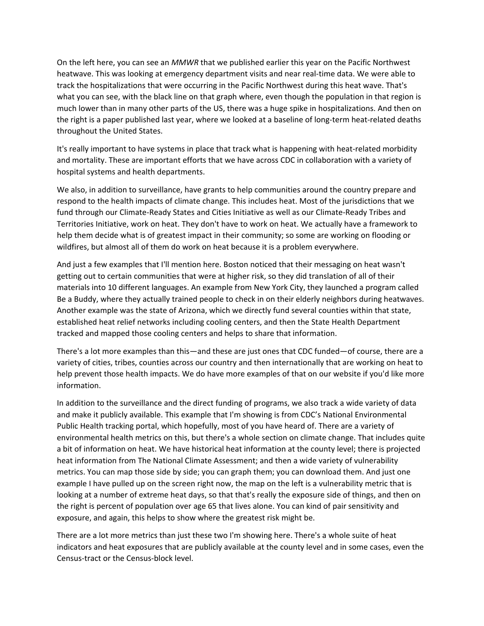On the left here, you can see an *MMWR* that we published earlier this year on the Pacific Northwest heatwave. This was looking at emergency department visits and near real‐time data. We were able to track the hospitalizations that were occurring in the Pacific Northwest during this heat wave. That's what you can see, with the black line on that graph where, even though the population in that region is much lower than in many other parts of the US, there was a huge spike in hospitalizations. And then on the right is a paper published last year, where we looked at a baseline of long‐term heat‐related deaths throughout the United States.

It's really important to have systems in place that track what is happening with heat-related morbidity and mortality. These are important efforts that we have across CDC in collaboration with a variety of hospital systems and health departments.

We also, in addition to surveillance, have grants to help communities around the country prepare and respond to the health impacts of climate change. This includes heat. Most of the jurisdictions that we fund through our Climate‐Ready States and Cities Initiative as well as our Climate‐Ready Tribes and Territories Initiative, work on heat. They don't have to work on heat. We actually have a framework to help them decide what is of greatest impact in their community; so some are working on flooding or wildfires, but almost all of them do work on heat because it is a problem everywhere.

And just a few examples that I'll mention here. Boston noticed that their messaging on heat wasn't getting out to certain communities that were at higher risk, so they did translation of all of their materials into 10 different languages. An example from New York City, they launched a program called Be a Buddy, where they actually trained people to check in on their elderly neighbors during heatwaves. Another example was the state of Arizona, which we directly fund several counties within that state, established heat relief networks including cooling centers, and then the State Health Department tracked and mapped those cooling centers and helps to share that information.

There's a lot more examples than this—and these are just ones that CDC funded—of course, there are a variety of cities, tribes, counties across our country and then internationally that are working on heat to help prevent those health impacts. We do have more examples of that on our website if you'd like more information.

In addition to the surveillance and the direct funding of programs, we also track a wide variety of data and make it publicly available. This example that I'm showing is from CDC's National Environmental Public Health tracking portal, which hopefully, most of you have heard of. There are a variety of environmental health metrics on this, but there's a whole section on climate change. That includes quite a bit of information on heat. We have historical heat information at the county level; there is projected heat information from The National Climate Assessment; and then a wide variety of vulnerability metrics. You can map those side by side; you can graph them; you can download them. And just one example I have pulled up on the screen right now, the map on the left is a vulnerability metric that is looking at a number of extreme heat days, so that that's really the exposure side of things, and then on the right is percent of population over age 65 that lives alone. You can kind of pair sensitivity and exposure, and again, this helps to show where the greatest risk might be.

There are a lot more metrics than just these two I'm showing here. There's a whole suite of heat indicators and heat exposures that are publicly available at the county level and in some cases, even the Census‐tract or the Census‐block level.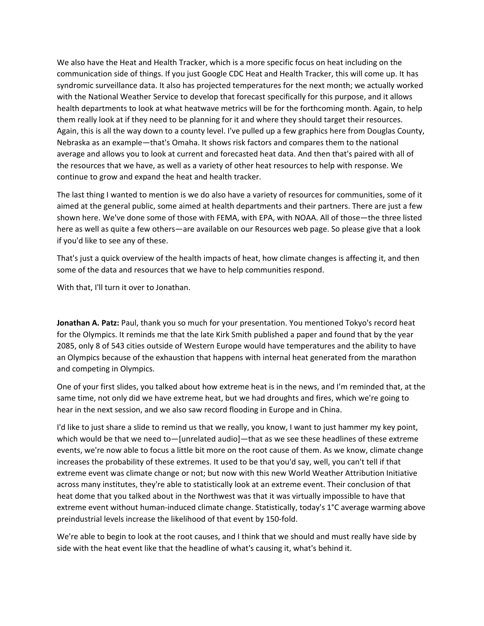We also have the Heat and Health Tracker, which is a more specific focus on heat including on the communication side of things. If you just Google CDC Heat and Health Tracker, this will come up. It has syndromic surveillance data. It also has projected temperatures for the next month; we actually worked with the National Weather Service to develop that forecast specifically for this purpose, and it allows health departments to look at what heatwave metrics will be for the forthcoming month. Again, to help them really look at if they need to be planning for it and where they should target their resources. Again, this is all the way down to a county level. I've pulled up a few graphics here from Douglas County, Nebraska as an example—that's Omaha. It shows risk factors and compares them to the national average and allows you to look at current and forecasted heat data. And then that's paired with all of the resources that we have, as well as a variety of other heat resources to help with response. We continue to grow and expand the heat and health tracker.

The last thing I wanted to mention is we do also have a variety of resources for communities, some of it aimed at the general public, some aimed at health departments and their partners. There are just a few shown here. We've done some of those with FEMA, with EPA, with NOAA. All of those—the three listed here as well as quite a few others—are available on our Resources web page. So please give that a look if you'd like to see any of these.

That's just a quick overview of the health impacts of heat, how climate changes is affecting it, and then some of the data and resources that we have to help communities respond.

With that, I'll turn it over to Jonathan.

**Jonathan A. Patz:** Paul, thank you so much for your presentation. You mentioned Tokyo's record heat for the Olympics. It reminds me that the late Kirk Smith published a paper and found that by the year 2085, only 8 of 543 cities outside of Western Europe would have temperatures and the ability to have an Olympics because of the exhaustion that happens with internal heat generated from the marathon and competing in Olympics.

One of your first slides, you talked about how extreme heat is in the news, and I'm reminded that, at the same time, not only did we have extreme heat, but we had droughts and fires, which we're going to hear in the next session, and we also saw record flooding in Europe and in China.

I'd like to just share a slide to remind us that we really, you know, I want to just hammer my key point, which would be that we need to—[unrelated audio]—that as we see these headlines of these extreme events, we're now able to focus a little bit more on the root cause of them. As we know, climate change increases the probability of these extremes. It used to be that you'd say, well, you can't tell if that extreme event was climate change or not; but now with this new World Weather Attribution Initiative across many institutes, they're able to statistically look at an extreme event. Their conclusion of that heat dome that you talked about in the Northwest was that it was virtually impossible to have that extreme event without human-induced climate change. Statistically, today's 1°C average warming above preindustrial levels increase the likelihood of that event by 150‐fold.

We're able to begin to look at the root causes, and I think that we should and must really have side by side with the heat event like that the headline of what's causing it, what's behind it.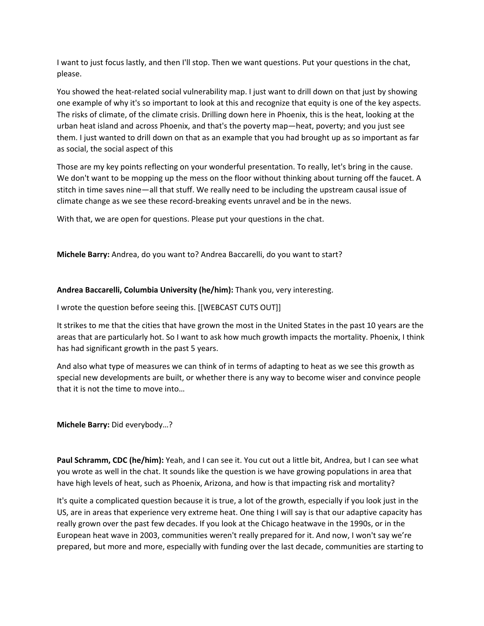I want to just focus lastly, and then I'll stop. Then we want questions. Put your questions in the chat, please.

You showed the heat-related social vulnerability map. I just want to drill down on that just by showing one example of why it's so important to look at this and recognize that equity is one of the key aspects. The risks of climate, of the climate crisis. Drilling down here in Phoenix, this is the heat, looking at the urban heat island and across Phoenix, and that's the poverty map—heat, poverty; and you just see them. I just wanted to drill down on that as an example that you had brought up as so important as far as social, the social aspect of this

Those are my key points reflecting on your wonderful presentation. To really, let's bring in the cause. We don't want to be mopping up the mess on the floor without thinking about turning off the faucet. A stitch in time saves nine—all that stuff. We really need to be including the upstream causal issue of climate change as we see these record‐breaking events unravel and be in the news.

With that, we are open for questions. Please put your questions in the chat.

**Michele Barry:** Andrea, do you want to? Andrea Baccarelli, do you want to start?

#### **Andrea Baccarelli, Columbia University (he/him):** Thank you, very interesting.

I wrote the question before seeing this. [[WEBCAST CUTS OUT]]

It strikes to me that the cities that have grown the most in the United States in the past 10 years are the areas that are particularly hot. So I want to ask how much growth impacts the mortality. Phoenix, I think has had significant growth in the past 5 years.

And also what type of measures we can think of in terms of adapting to heat as we see this growth as special new developments are built, or whether there is any way to become wiser and convince people that it is not the time to move into…

**Michele Barry:** Did everybody…?

**Paul Schramm, CDC (he/him):** Yeah, and I can see it. You cut out a little bit, Andrea, but I can see what you wrote as well in the chat. It sounds like the question is we have growing populations in area that have high levels of heat, such as Phoenix, Arizona, and how is that impacting risk and mortality?

It's quite a complicated question because it is true, a lot of the growth, especially if you look just in the US, are in areas that experience very extreme heat. One thing I will say is that our adaptive capacity has really grown over the past few decades. If you look at the Chicago heatwave in the 1990s, or in the European heat wave in 2003, communities weren't really prepared for it. And now, I won't say we're prepared, but more and more, especially with funding over the last decade, communities are starting to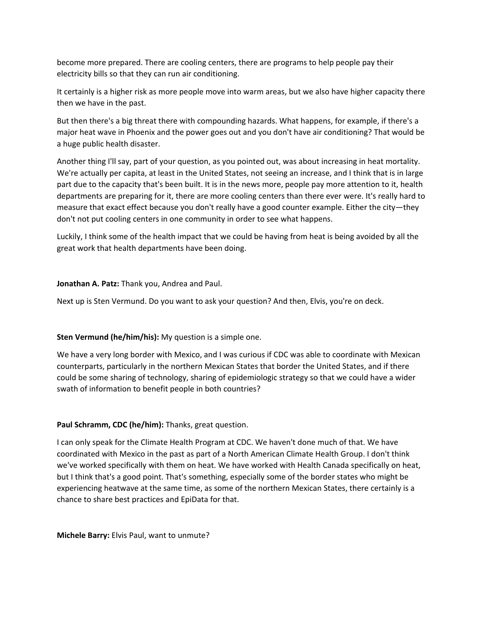become more prepared. There are cooling centers, there are programs to help people pay their electricity bills so that they can run air conditioning.

It certainly is a higher risk as more people move into warm areas, but we also have higher capacity there then we have in the past.

But then there's a big threat there with compounding hazards. What happens, for example, if there's a major heat wave in Phoenix and the power goes out and you don't have air conditioning? That would be a huge public health disaster.

Another thing I'll say, part of your question, as you pointed out, was about increasing in heat mortality. We're actually per capita, at least in the United States, not seeing an increase, and I think that is in large part due to the capacity that's been built. It is in the news more, people pay more attention to it, health departments are preparing for it, there are more cooling centers than there ever were. It's really hard to measure that exact effect because you don't really have a good counter example. Either the city—they don't not put cooling centers in one community in order to see what happens.

Luckily, I think some of the health impact that we could be having from heat is being avoided by all the great work that health departments have been doing.

### **Jonathan A. Patz:** Thank you, Andrea and Paul.

Next up is Sten Vermund. Do you want to ask your question? And then, Elvis, you're on deck.

# **Sten Vermund (he/him/his):** My question is a simple one.

We have a very long border with Mexico, and I was curious if CDC was able to coordinate with Mexican counterparts, particularly in the northern Mexican States that border the United States, and if there could be some sharing of technology, sharing of epidemiologic strategy so that we could have a wider swath of information to benefit people in both countries?

# **Paul Schramm, CDC (he/him):** Thanks, great question.

I can only speak for the Climate Health Program at CDC. We haven't done much of that. We have coordinated with Mexico in the past as part of a North American Climate Health Group. I don't think we've worked specifically with them on heat. We have worked with Health Canada specifically on heat, but I think that's a good point. That's something, especially some of the border states who might be experiencing heatwave at the same time, as some of the northern Mexican States, there certainly is a chance to share best practices and EpiData for that.

**Michele Barry:** Elvis Paul, want to unmute?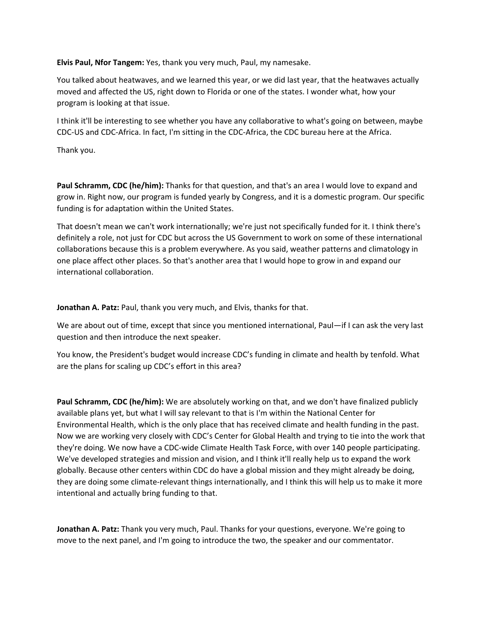**Elvis Paul, Nfor Tangem:** Yes, thank you very much, Paul, my namesake.

You talked about heatwaves, and we learned this year, or we did last year, that the heatwaves actually moved and affected the US, right down to Florida or one of the states. I wonder what, how your program is looking at that issue.

I think it'll be interesting to see whether you have any collaborative to what's going on between, maybe CDC‐US and CDC‐Africa. In fact, I'm sitting in the CDC‐Africa, the CDC bureau here at the Africa.

Thank you.

**Paul Schramm, CDC (he/him):** Thanks for that question, and that's an area I would love to expand and grow in. Right now, our program is funded yearly by Congress, and it is a domestic program. Our specific funding is for adaptation within the United States.

That doesn't mean we can't work internationally; we're just not specifically funded for it. I think there's definitely a role, not just for CDC but across the US Government to work on some of these international collaborations because this is a problem everywhere. As you said, weather patterns and climatology in one place affect other places. So that's another area that I would hope to grow in and expand our international collaboration.

**Jonathan A. Patz:** Paul, thank you very much, and Elvis, thanks for that.

We are about out of time, except that since you mentioned international, Paul—if I can ask the very last question and then introduce the next speaker.

You know, the President's budget would increase CDC's funding in climate and health by tenfold. What are the plans for scaling up CDC's effort in this area?

**Paul Schramm, CDC (he/him):** We are absolutely working on that, and we don't have finalized publicly available plans yet, but what I will say relevant to that is I'm within the National Center for Environmental Health, which is the only place that has received climate and health funding in the past. Now we are working very closely with CDC's Center for Global Health and trying to tie into the work that they're doing. We now have a CDC‐wide Climate Health Task Force, with over 140 people participating. We've developed strategies and mission and vision, and I think it'll really help us to expand the work globally. Because other centers within CDC do have a global mission and they might already be doing, they are doing some climate‐relevant things internationally, and I think this will help us to make it more intentional and actually bring funding to that.

**Jonathan A. Patz:** Thank you very much, Paul. Thanks for your questions, everyone. We're going to move to the next panel, and I'm going to introduce the two, the speaker and our commentator.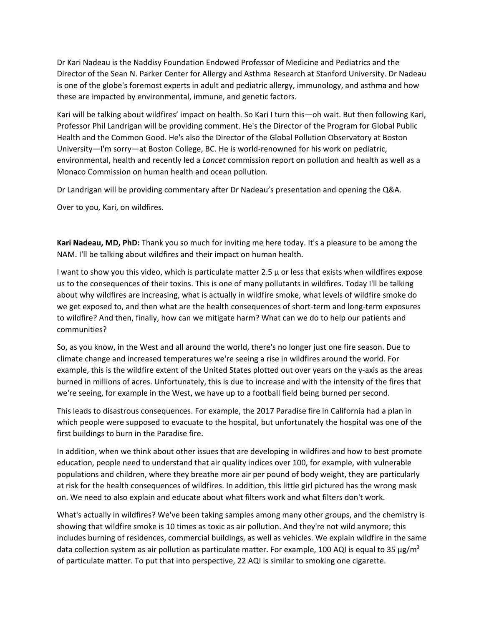Dr Kari Nadeau is the Naddisy Foundation Endowed Professor of Medicine and Pediatrics and the Director of the Sean N. Parker Center for Allergy and Asthma Research at Stanford University. Dr Nadeau is one of the globe's foremost experts in adult and pediatric allergy, immunology, and asthma and how these are impacted by environmental, immune, and genetic factors.

Kari will be talking about wildfires' impact on health. So Kari I turn this—oh wait. But then following Kari, Professor Phil Landrigan will be providing comment. He's the Director of the Program for Global Public Health and the Common Good. He's also the Director of the Global Pollution Observatory at Boston University—I'm sorry—at Boston College, BC. He is world-renowned for his work on pediatric, environmental, health and recently led a *Lancet* commission report on pollution and health as well as a Monaco Commission on human health and ocean pollution.

Dr Landrigan will be providing commentary after Dr Nadeau's presentation and opening the Q&A.

Over to you, Kari, on wildfires.

**Kari Nadeau, MD, PhD:** Thank you so much for inviting me here today. It's a pleasure to be among the NAM. I'll be talking about wildfires and their impact on human health.

I want to show you this video, which is particulate matter 2.5 µ or less that exists when wildfires expose us to the consequences of their toxins. This is one of many pollutants in wildfires. Today I'll be talking about why wildfires are increasing, what is actually in wildfire smoke, what levels of wildfire smoke do we get exposed to, and then what are the health consequences of short-term and long-term exposures to wildfire? And then, finally, how can we mitigate harm? What can we do to help our patients and communities?

So, as you know, in the West and all around the world, there's no longer just one fire season. Due to climate change and increased temperatures we're seeing a rise in wildfires around the world. For example, this is the wildfire extent of the United States plotted out over years on the y‐axis as the areas burned in millions of acres. Unfortunately, this is due to increase and with the intensity of the fires that we're seeing, for example in the West, we have up to a football field being burned per second.

This leads to disastrous consequences. For example, the 2017 Paradise fire in California had a plan in which people were supposed to evacuate to the hospital, but unfortunately the hospital was one of the first buildings to burn in the Paradise fire.

In addition, when we think about other issues that are developing in wildfires and how to best promote education, people need to understand that air quality indices over 100, for example, with vulnerable populations and children, where they breathe more air per pound of body weight, they are particularly at risk for the health consequences of wildfires. In addition, this little girl pictured has the wrong mask on. We need to also explain and educate about what filters work and what filters don't work.

What's actually in wildfires? We've been taking samples among many other groups, and the chemistry is showing that wildfire smoke is 10 times as toxic as air pollution. And they're not wild anymore; this includes burning of residences, commercial buildings, as well as vehicles. We explain wildfire in the same data collection system as air pollution as particulate matter. For example, 100 AQI is equal to 35  $\mu$ g/m<sup>3</sup> of particulate matter. To put that into perspective, 22 AQI is similar to smoking one cigarette.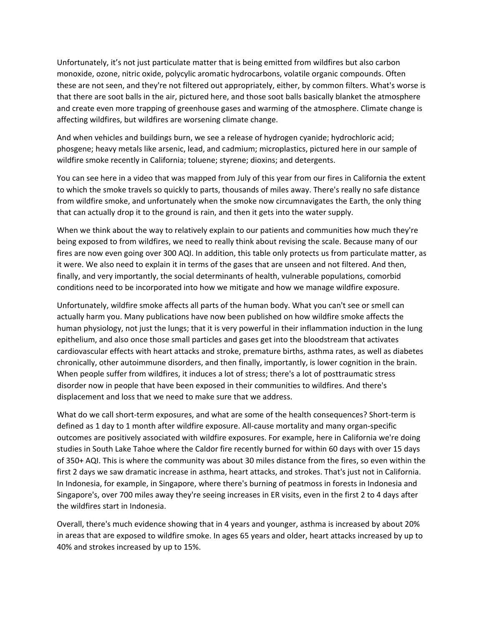Unfortunately, it's not just particulate matter that is being emitted from wildfires but also carbon monoxide, ozone, nitric oxide, polycylic aromatic hydrocarbons, volatile organic compounds. Often these are not seen, and they're not filtered out appropriately, either, by common filters. What's worse is that there are soot balls in the air, pictured here, and those soot balls basically blanket the atmosphere and create even more trapping of greenhouse gases and warming of the atmosphere. Climate change is affecting wildfires, but wildfires are worsening climate change.

And when vehicles and buildings burn, we see a release of hydrogen cyanide; hydrochloric acid; phosgene; heavy metals like arsenic, lead, and cadmium; microplastics, pictured here in our sample of wildfire smoke recently in California; toluene; styrene; dioxins; and detergents.

You can see here in a video that was mapped from July of this year from our fires in California the extent to which the smoke travels so quickly to parts, thousands of miles away. There's really no safe distance from wildfire smoke, and unfortunately when the smoke now circumnavigates the Earth, the only thing that can actually drop it to the ground is rain, and then it gets into the water supply.

When we think about the way to relatively explain to our patients and communities how much they're being exposed to from wildfires, we need to really think about revising the scale. Because many of our fires are now even going over 300 AQI. In addition, this table only protects us from particulate matter, as it were. We also need to explain it in terms of the gases that are unseen and not filtered. And then, finally, and very importantly, the social determinants of health, vulnerable populations, comorbid conditions need to be incorporated into how we mitigate and how we manage wildfire exposure.

Unfortunately, wildfire smoke affects all parts of the human body. What you can't see or smell can actually harm you. Many publications have now been published on how wildfire smoke affects the human physiology, not just the lungs; that it is very powerful in their inflammation induction in the lung epithelium, and also once those small particles and gases get into the bloodstream that activates cardiovascular effects with heart attacks and stroke, premature births, asthma rates, as well as diabetes chronically, other autoimmune disorders, and then finally, importantly, is lower cognition in the brain. When people suffer from wildfires, it induces a lot of stress; there's a lot of posttraumatic stress disorder now in people that have been exposed in their communities to wildfires. And there's displacement and loss that we need to make sure that we address.

What do we call short-term exposures, and what are some of the health consequences? Short-term is defined as 1 day to 1 month after wildfire exposure. All-cause mortality and many organ-specific outcomes are positively associated with wildfire exposures. For example, here in California we're doing studies in South Lake Tahoe where the Caldor fire recently burned for within 60 days with over 15 days of 350+ AQI. This is where the community was about 30 miles distance from the fires, so even within the first 2 days we saw dramatic increase in asthma, heart attacks, and strokes. That's just not in California. In Indonesia, for example, in Singapore, where there's burning of peatmoss in forests in Indonesia and Singapore's, over 700 miles away they're seeing increases in ER visits, even in the first 2 to 4 days after the wildfires start in Indonesia.

Overall, there's much evidence showing that in 4 years and younger, asthma is increased by about 20% in areas that are exposed to wildfire smoke. In ages 65 years and older, heart attacks increased by up to 40% and strokes increased by up to 15%.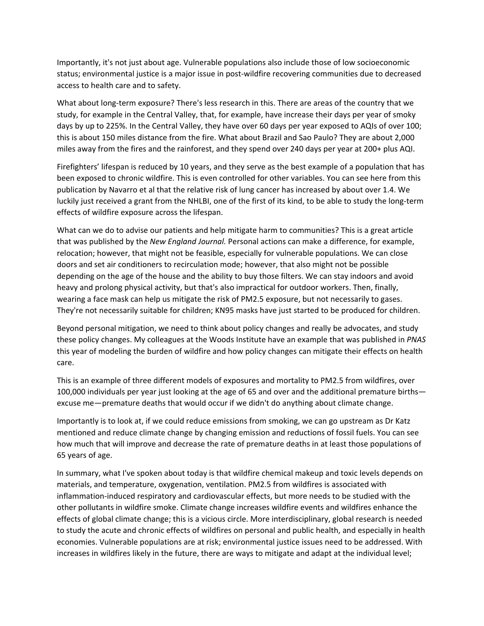Importantly, it's not just about age. Vulnerable populations also include those of low socioeconomic status; environmental justice is a major issue in post‐wildfire recovering communities due to decreased access to health care and to safety.

What about long-term exposure? There's less research in this. There are areas of the country that we study, for example in the Central Valley, that, for example, have increase their days per year of smoky days by up to 225%. In the Central Valley, they have over 60 days per year exposed to AQIs of over 100; this is about 150 miles distance from the fire. What about Brazil and Sao Paulo? They are about 2,000 miles away from the fires and the rainforest, and they spend over 240 days per year at 200+ plus AQI.

Firefighters' lifespan is reduced by 10 years, and they serve as the best example of a population that has been exposed to chronic wildfire. This is even controlled for other variables. You can see here from this publication by Navarro et al that the relative risk of lung cancer has increased by about over 1.4. We luckily just received a grant from the NHLBI, one of the first of its kind, to be able to study the long‐term effects of wildfire exposure across the lifespan.

What can we do to advise our patients and help mitigate harm to communities? This is a great article that was published by the *New England Journal.* Personal actions can make a difference, for example, relocation; however, that might not be feasible, especially for vulnerable populations. We can close doors and set air conditioners to recirculation mode; however, that also might not be possible depending on the age of the house and the ability to buy those filters. We can stay indoors and avoid heavy and prolong physical activity, but that's also impractical for outdoor workers. Then, finally, wearing a face mask can help us mitigate the risk of PM2.5 exposure, but not necessarily to gases. They're not necessarily suitable for children; KN95 masks have just started to be produced for children.

Beyond personal mitigation, we need to think about policy changes and really be advocates, and study these policy changes. My colleagues at the Woods Institute have an example that was published in *PNAS* this year of modeling the burden of wildfire and how policy changes can mitigate their effects on health care.

This is an example of three different models of exposures and mortality to PM2.5 from wildfires, over 100,000 individuals per year just looking at the age of 65 and over and the additional premature births excuse me—premature deaths that would occur if we didn't do anything about climate change.

Importantly is to look at, if we could reduce emissions from smoking, we can go upstream as Dr Katz mentioned and reduce climate change by changing emission and reductions of fossil fuels. You can see how much that will improve and decrease the rate of premature deaths in at least those populations of 65 years of age.

In summary, what I've spoken about today is that wildfire chemical makeup and toxic levels depends on materials, and temperature, oxygenation, ventilation. PM2.5 from wildfires is associated with inflammation‐induced respiratory and cardiovascular effects, but more needs to be studied with the other pollutants in wildfire smoke. Climate change increases wildfire events and wildfires enhance the effects of global climate change; this is a vicious circle. More interdisciplinary, global research is needed to study the acute and chronic effects of wildfires on personal and public health, and especially in health economies. Vulnerable populations are at risk; environmental justice issues need to be addressed. With increases in wildfires likely in the future, there are ways to mitigate and adapt at the individual level;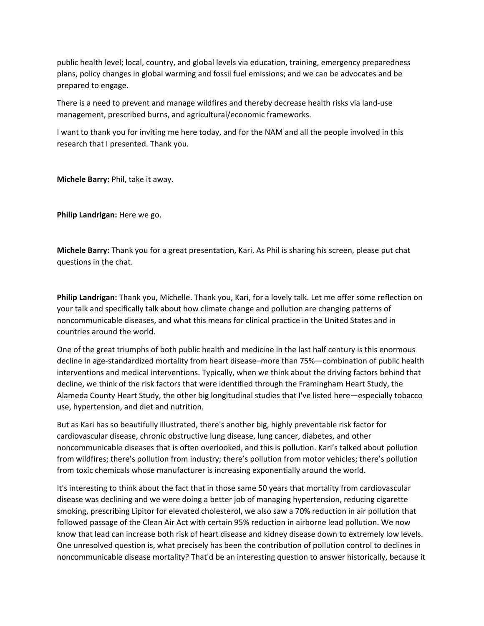public health level; local, country, and global levels via education, training, emergency preparedness plans, policy changes in global warming and fossil fuel emissions; and we can be advocates and be prepared to engage.

There is a need to prevent and manage wildfires and thereby decrease health risks via land‐use management, prescribed burns, and agricultural/economic frameworks.

I want to thank you for inviting me here today, and for the NAM and all the people involved in this research that I presented. Thank you.

**Michele Barry:** Phil, take it away.

**Philip Landrigan:** Here we go.

**Michele Barry:** Thank you for a great presentation, Kari. As Phil is sharing his screen, please put chat questions in the chat.

**Philip Landrigan:** Thank you, Michelle. Thank you, Kari, for a lovely talk. Let me offer some reflection on your talk and specifically talk about how climate change and pollution are changing patterns of noncommunicable diseases, and what this means for clinical practice in the United States and in countries around the world.

One of the great triumphs of both public health and medicine in the last half century is this enormous decline in age-standardized mortality from heart disease–more than 75%—combination of public health interventions and medical interventions. Typically, when we think about the driving factors behind that decline, we think of the risk factors that were identified through the Framingham Heart Study, the Alameda County Heart Study, the other big longitudinal studies that I've listed here—especially tobacco use, hypertension, and diet and nutrition.

But as Kari has so beautifully illustrated, there's another big, highly preventable risk factor for cardiovascular disease, chronic obstructive lung disease, lung cancer, diabetes, and other noncommunicable diseases that is often overlooked, and this is pollution. Kari's talked about pollution from wildfires; there's pollution from industry; there's pollution from motor vehicles; there's pollution from toxic chemicals whose manufacturer is increasing exponentially around the world.

It's interesting to think about the fact that in those same 50 years that mortality from cardiovascular disease was declining and we were doing a better job of managing hypertension, reducing cigarette smoking, prescribing Lipitor for elevated cholesterol, we also saw a 70% reduction in air pollution that followed passage of the Clean Air Act with certain 95% reduction in airborne lead pollution. We now know that lead can increase both risk of heart disease and kidney disease down to extremely low levels. One unresolved question is, what precisely has been the contribution of pollution control to declines in noncommunicable disease mortality? That'd be an interesting question to answer historically, because it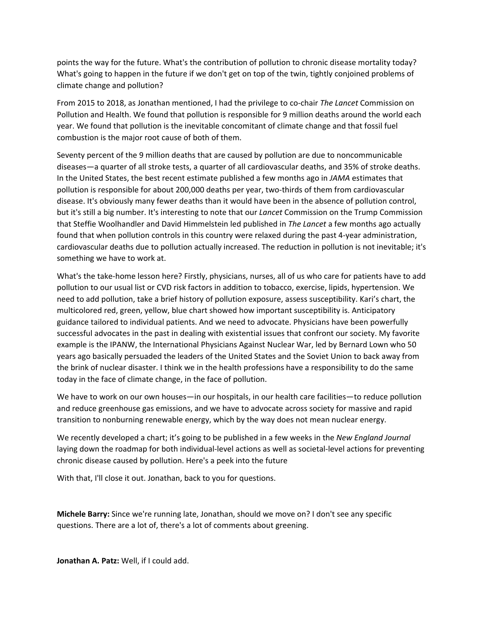points the way for the future. What's the contribution of pollution to chronic disease mortality today? What's going to happen in the future if we don't get on top of the twin, tightly conjoined problems of climate change and pollution?

From 2015 to 2018, as Jonathan mentioned, I had the privilege to co‐chair *The Lancet* Commission on Pollution and Health. We found that pollution is responsible for 9 million deaths around the world each year. We found that pollution is the inevitable concomitant of climate change and that fossil fuel combustion is the major root cause of both of them.

Seventy percent of the 9 million deaths that are caused by pollution are due to noncommunicable diseases—a quarter of all stroke tests, a quarter of all cardiovascular deaths, and 35% of stroke deaths. In the United States, the best recent estimate published a few months ago in *JAMA* estimates that pollution is responsible for about 200,000 deaths per year, two‐thirds of them from cardiovascular disease. It's obviously many fewer deaths than it would have been in the absence of pollution control, but it's still a big number. It's interesting to note that our *Lancet* Commission on the Trump Commission that Steffie Woolhandler and David Himmelstein led published in *The Lancet* a few months ago actually found that when pollution controls in this country were relaxed during the past 4‐year administration, cardiovascular deaths due to pollution actually increased. The reduction in pollution is not inevitable; it's something we have to work at.

What's the take‐home lesson here? Firstly, physicians, nurses, all of us who care for patients have to add pollution to our usual list or CVD risk factors in addition to tobacco, exercise, lipids, hypertension. We need to add pollution, take a brief history of pollution exposure, assess susceptibility. Kari's chart, the multicolored red, green, yellow, blue chart showed how important susceptibility is. Anticipatory guidance tailored to individual patients. And we need to advocate. Physicians have been powerfully successful advocates in the past in dealing with existential issues that confront our society. My favorite example is the IPANW, the International Physicians Against Nuclear War, led by Bernard Lown who 50 years ago basically persuaded the leaders of the United States and the Soviet Union to back away from the brink of nuclear disaster. I think we in the health professions have a responsibility to do the same today in the face of climate change, in the face of pollution.

We have to work on our own houses—in our hospitals, in our health care facilities—to reduce pollution and reduce greenhouse gas emissions, and we have to advocate across society for massive and rapid transition to nonburning renewable energy, which by the way does not mean nuclear energy.

We recently developed a chart; it's going to be published in a few weeks in the *New England Journal* laying down the roadmap for both individual-level actions as well as societal-level actions for preventing chronic disease caused by pollution. Here's a peek into the future

With that, I'll close it out. Jonathan, back to you for questions.

**Michele Barry:** Since we're running late, Jonathan, should we move on? I don't see any specific questions. There are a lot of, there's a lot of comments about greening.

**Jonathan A. Patz:** Well, if I could add.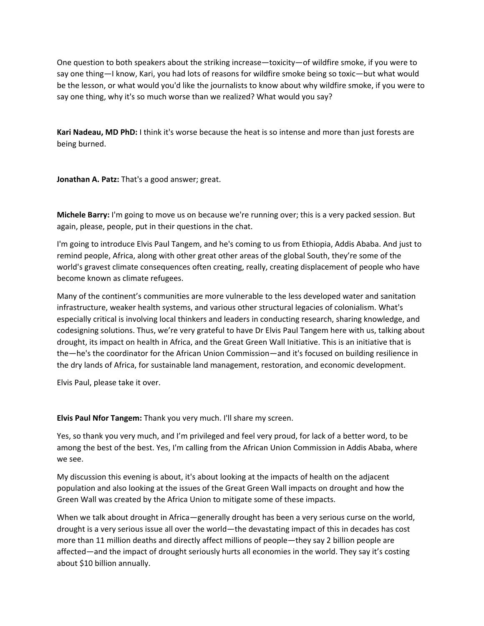One question to both speakers about the striking increase—toxicity—of wildfire smoke, if you were to say one thing—I know, Kari, you had lots of reasons for wildfire smoke being so toxic—but what would be the lesson, or what would you'd like the journalists to know about why wildfire smoke, if you were to say one thing, why it's so much worse than we realized? What would you say?

**Kari Nadeau, MD PhD:** I think it's worse because the heat is so intense and more than just forests are being burned.

**Jonathan A. Patz:** That's a good answer; great.

**Michele Barry:** I'm going to move us on because we're running over; this is a very packed session. But again, please, people, put in their questions in the chat.

I'm going to introduce Elvis Paul Tangem, and he's coming to us from Ethiopia, Addis Ababa. And just to remind people, Africa, along with other great other areas of the global South, they're some of the world's gravest climate consequences often creating, really, creating displacement of people who have become known as climate refugees.

Many of the continent's communities are more vulnerable to the less developed water and sanitation infrastructure, weaker health systems, and various other structural legacies of colonialism. What's especially critical is involving local thinkers and leaders in conducting research, sharing knowledge, and codesigning solutions. Thus, we're very grateful to have Dr Elvis Paul Tangem here with us, talking about drought, its impact on health in Africa, and the Great Green Wall Initiative. This is an initiative that is the—he's the coordinator for the African Union Commission—and it's focused on building resilience in the dry lands of Africa, for sustainable land management, restoration, and economic development.

Elvis Paul, please take it over.

**Elvis Paul Nfor Tangem:** Thank you very much. I'll share my screen.

Yes, so thank you very much, and I'm privileged and feel very proud, for lack of a better word, to be among the best of the best. Yes, I'm calling from the African Union Commission in Addis Ababa, where we see.

My discussion this evening is about, it's about looking at the impacts of health on the adjacent population and also looking at the issues of the Great Green Wall impacts on drought and how the Green Wall was created by the Africa Union to mitigate some of these impacts.

When we talk about drought in Africa—generally drought has been a very serious curse on the world, drought is a very serious issue all over the world—the devastating impact of this in decades has cost more than 11 million deaths and directly affect millions of people—they say 2 billion people are affected—and the impact of drought seriously hurts all economies in the world. They say it's costing about \$10 billion annually.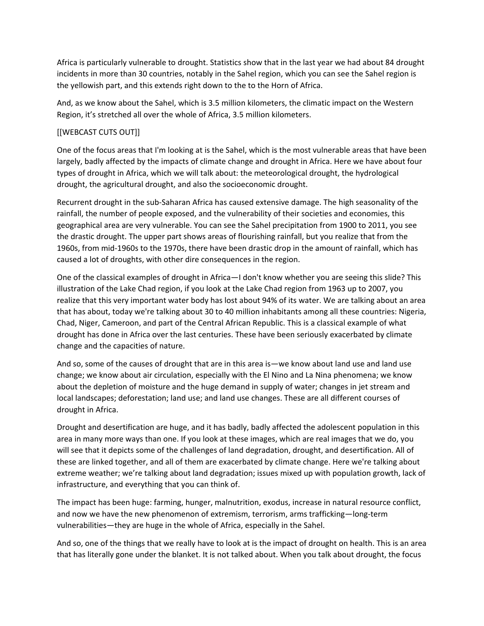Africa is particularly vulnerable to drought. Statistics show that in the last year we had about 84 drought incidents in more than 30 countries, notably in the Sahel region, which you can see the Sahel region is the yellowish part, and this extends right down to the to the Horn of Africa.

And, as we know about the Sahel, which is 3.5 million kilometers, the climatic impact on the Western Region, it's stretched all over the whole of Africa, 3.5 million kilometers.

# [[WEBCAST CUTS OUT]]

One of the focus areas that I'm looking at is the Sahel, which is the most vulnerable areas that have been largely, badly affected by the impacts of climate change and drought in Africa. Here we have about four types of drought in Africa, which we will talk about: the meteorological drought, the hydrological drought, the agricultural drought, and also the socioeconomic drought.

Recurrent drought in the sub‐Saharan Africa has caused extensive damage. The high seasonality of the rainfall, the number of people exposed, and the vulnerability of their societies and economies, this geographical area are very vulnerable. You can see the Sahel precipitation from 1900 to 2011, you see the drastic drought. The upper part shows areas of flourishing rainfall, but you realize that from the 1960s, from mid‐1960s to the 1970s, there have been drastic drop in the amount of rainfall, which has caused a lot of droughts, with other dire consequences in the region.

One of the classical examples of drought in Africa—I don't know whether you are seeing this slide? This illustration of the Lake Chad region, if you look at the Lake Chad region from 1963 up to 2007, you realize that this very important water body has lost about 94% of its water. We are talking about an area that has about, today we're talking about 30 to 40 million inhabitants among all these countries: Nigeria, Chad, Niger, Cameroon, and part of the Central African Republic. This is a classical example of what drought has done in Africa over the last centuries. These have been seriously exacerbated by climate change and the capacities of nature.

And so, some of the causes of drought that are in this area is—we know about land use and land use change; we know about air circulation, especially with the El Nino and La Nina phenomena; we know about the depletion of moisture and the huge demand in supply of water; changes in jet stream and local landscapes; deforestation; land use; and land use changes. These are all different courses of drought in Africa.

Drought and desertification are huge, and it has badly, badly affected the adolescent population in this area in many more ways than one. If you look at these images, which are real images that we do, you will see that it depicts some of the challenges of land degradation, drought, and desertification. All of these are linked together, and all of them are exacerbated by climate change. Here we're talking about extreme weather; we're talking about land degradation; issues mixed up with population growth, lack of infrastructure, and everything that you can think of.

The impact has been huge: farming, hunger, malnutrition, exodus, increase in natural resource conflict, and now we have the new phenomenon of extremism, terrorism, arms trafficking—long-term vulnerabilities—they are huge in the whole of Africa, especially in the Sahel.

And so, one of the things that we really have to look at is the impact of drought on health. This is an area that has literally gone under the blanket. It is not talked about. When you talk about drought, the focus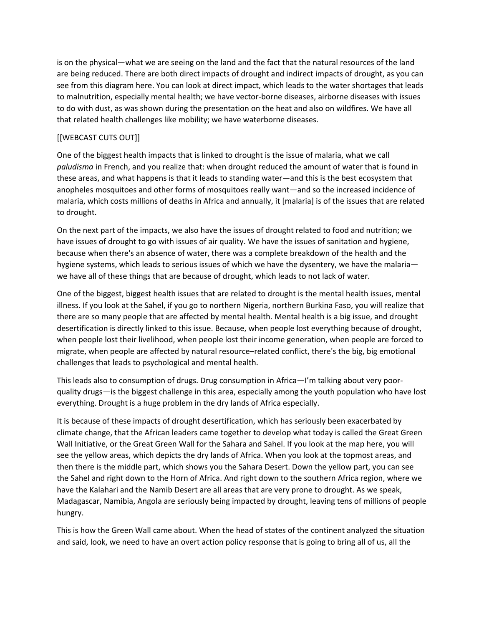is on the physical—what we are seeing on the land and the fact that the natural resources of the land are being reduced. There are both direct impacts of drought and indirect impacts of drought, as you can see from this diagram here. You can look at direct impact, which leads to the water shortages that leads to malnutrition, especially mental health; we have vector‐borne diseases, airborne diseases with issues to do with dust, as was shown during the presentation on the heat and also on wildfires. We have all that related health challenges like mobility; we have waterborne diseases.

# [[WEBCAST CUTS OUT]]

One of the biggest health impacts that is linked to drought is the issue of malaria, what we call *paludisma* in French, and you realize that: when drought reduced the amount of water that is found in these areas, and what happens is that it leads to standing water—and this is the best ecosystem that anopheles mosquitoes and other forms of mosquitoes really want—and so the increased incidence of malaria, which costs millions of deaths in Africa and annually, it [malaria] is of the issues that are related to drought.

On the next part of the impacts, we also have the issues of drought related to food and nutrition; we have issues of drought to go with issues of air quality. We have the issues of sanitation and hygiene, because when there's an absence of water, there was a complete breakdown of the health and the hygiene systems, which leads to serious issues of which we have the dysentery, we have the malaria we have all of these things that are because of drought, which leads to not lack of water.

One of the biggest, biggest health issues that are related to drought is the mental health issues, mental illness. If you look at the Sahel, if you go to northern Nigeria, northern Burkina Faso, you will realize that there are so many people that are affected by mental health. Mental health is a big issue, and drought desertification is directly linked to this issue. Because, when people lost everything because of drought, when people lost their livelihood, when people lost their income generation, when people are forced to migrate, when people are affected by natural resource–related conflict, there's the big, big emotional challenges that leads to psychological and mental health.

This leads also to consumption of drugs. Drug consumption in Africa—I'm talking about very poor‐ quality drugs—is the biggest challenge in this area, especially among the youth population who have lost everything. Drought is a huge problem in the dry lands of Africa especially.

It is because of these impacts of drought desertification, which has seriously been exacerbated by climate change, that the African leaders came together to develop what today is called the Great Green Wall Initiative, or the Great Green Wall for the Sahara and Sahel. If you look at the map here, you will see the yellow areas, which depicts the dry lands of Africa. When you look at the topmost areas, and then there is the middle part, which shows you the Sahara Desert. Down the yellow part, you can see the Sahel and right down to the Horn of Africa. And right down to the southern Africa region, where we have the Kalahari and the Namib Desert are all areas that are very prone to drought. As we speak, Madagascar, Namibia, Angola are seriously being impacted by drought, leaving tens of millions of people hungry.

This is how the Green Wall came about. When the head of states of the continent analyzed the situation and said, look, we need to have an overt action policy response that is going to bring all of us, all the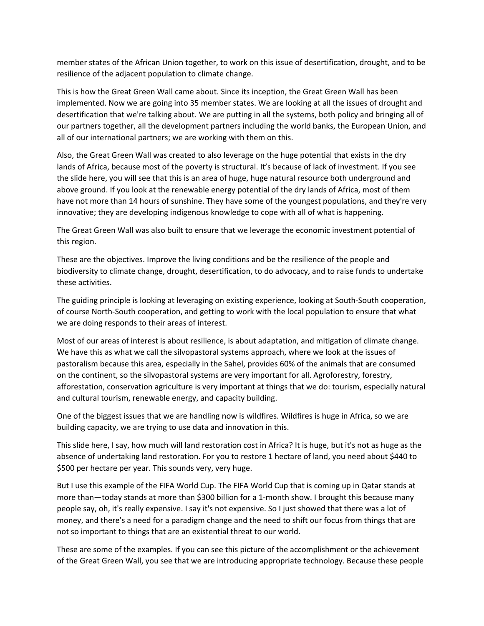member states of the African Union together, to work on this issue of desertification, drought, and to be resilience of the adjacent population to climate change.

This is how the Great Green Wall came about. Since its inception, the Great Green Wall has been implemented. Now we are going into 35 member states. We are looking at all the issues of drought and desertification that we're talking about. We are putting in all the systems, both policy and bringing all of our partners together, all the development partners including the world banks, the European Union, and all of our international partners; we are working with them on this.

Also, the Great Green Wall was created to also leverage on the huge potential that exists in the dry lands of Africa, because most of the poverty is structural. It's because of lack of investment. If you see the slide here, you will see that this is an area of huge, huge natural resource both underground and above ground. If you look at the renewable energy potential of the dry lands of Africa, most of them have not more than 14 hours of sunshine. They have some of the youngest populations, and they're very innovative; they are developing indigenous knowledge to cope with all of what is happening.

The Great Green Wall was also built to ensure that we leverage the economic investment potential of this region.

These are the objectives. Improve the living conditions and be the resilience of the people and biodiversity to climate change, drought, desertification, to do advocacy, and to raise funds to undertake these activities.

The guiding principle is looking at leveraging on existing experience, looking at South‐South cooperation, of course North‐South cooperation, and getting to work with the local population to ensure that what we are doing responds to their areas of interest.

Most of our areas of interest is about resilience, is about adaptation, and mitigation of climate change. We have this as what we call the silvopastoral systems approach, where we look at the issues of pastoralism because this area, especially in the Sahel, provides 60% of the animals that are consumed on the continent, so the silvopastoral systems are very important for all. Agroforestry, forestry, afforestation, conservation agriculture is very important at things that we do: tourism, especially natural and cultural tourism, renewable energy, and capacity building.

One of the biggest issues that we are handling now is wildfires. Wildfires is huge in Africa, so we are building capacity, we are trying to use data and innovation in this.

This slide here, I say, how much will land restoration cost in Africa? It is huge, but it's not as huge as the absence of undertaking land restoration. For you to restore 1 hectare of land, you need about \$440 to \$500 per hectare per year. This sounds very, very huge.

But I use this example of the FIFA World Cup. The FIFA World Cup that is coming up in Qatar stands at more than—today stands at more than \$300 billion for a 1-month show. I brought this because many people say, oh, it's really expensive. I say it's not expensive. So I just showed that there was a lot of money, and there's a need for a paradigm change and the need to shift our focus from things that are not so important to things that are an existential threat to our world.

These are some of the examples. If you can see this picture of the accomplishment or the achievement of the Great Green Wall, you see that we are introducing appropriate technology. Because these people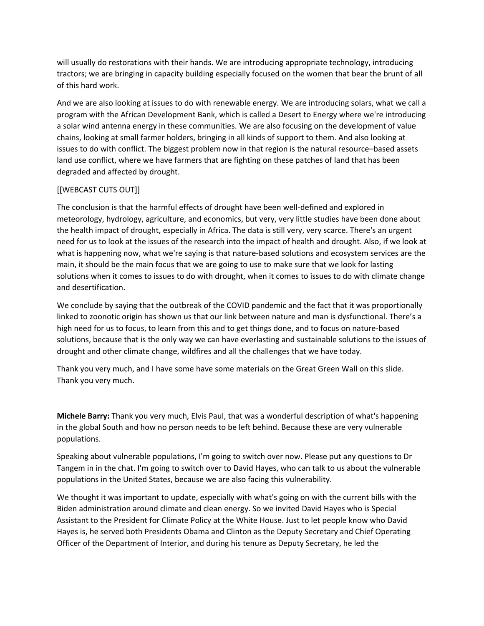will usually do restorations with their hands. We are introducing appropriate technology, introducing tractors; we are bringing in capacity building especially focused on the women that bear the brunt of all of this hard work.

And we are also looking at issues to do with renewable energy. We are introducing solars, what we call a program with the African Development Bank, which is called a Desert to Energy where we're introducing a solar wind antenna energy in these communities. We are also focusing on the development of value chains, looking at small farmer holders, bringing in all kinds of support to them. And also looking at issues to do with conflict. The biggest problem now in that region is the natural resource–based assets land use conflict, where we have farmers that are fighting on these patches of land that has been degraded and affected by drought.

# [[WEBCAST CUTS OUT]]

The conclusion is that the harmful effects of drought have been well‐defined and explored in meteorology, hydrology, agriculture, and economics, but very, very little studies have been done about the health impact of drought, especially in Africa. The data is still very, very scarce. There's an urgent need for us to look at the issues of the research into the impact of health and drought. Also, if we look at what is happening now, what we're saying is that nature-based solutions and ecosystem services are the main, it should be the main focus that we are going to use to make sure that we look for lasting solutions when it comes to issues to do with drought, when it comes to issues to do with climate change and desertification.

We conclude by saying that the outbreak of the COVID pandemic and the fact that it was proportionally linked to zoonotic origin has shown us that our link between nature and man is dysfunctional. There's a high need for us to focus, to learn from this and to get things done, and to focus on nature-based solutions, because that is the only way we can have everlasting and sustainable solutions to the issues of drought and other climate change, wildfires and all the challenges that we have today.

Thank you very much, and I have some have some materials on the Great Green Wall on this slide. Thank you very much.

**Michele Barry:** Thank you very much, Elvis Paul, that was a wonderful description of what's happening in the global South and how no person needs to be left behind. Because these are very vulnerable populations.

Speaking about vulnerable populations, I'm going to switch over now. Please put any questions to Dr Tangem in in the chat. I'm going to switch over to David Hayes, who can talk to us about the vulnerable populations in the United States, because we are also facing this vulnerability.

We thought it was important to update, especially with what's going on with the current bills with the Biden administration around climate and clean energy. So we invited David Hayes who is Special Assistant to the President for Climate Policy at the White House. Just to let people know who David Hayes is, he served both Presidents Obama and Clinton as the Deputy Secretary and Chief Operating Officer of the Department of Interior, and during his tenure as Deputy Secretary, he led the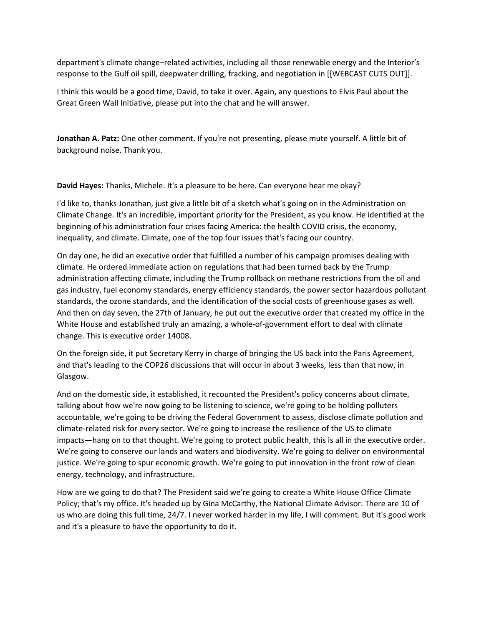department's climate change–related activities, including all those renewable energy and the Interior's response to the Gulf oil spill, deepwater drilling, fracking, and negotiation in [[WEBCAST CUTS OUT]].

I think this would be a good time, David, to take it over. Again, any questions to Elvis Paul about the Great Green Wall Initiative, please put into the chat and he will answer.

**Jonathan A. Patz:** One other comment. If you're not presenting, please mute yourself. A little bit of background noise. Thank you.

**David Hayes:** Thanks, Michele. It's a pleasure to be here. Can everyone hear me okay?

I'd like to, thanks Jonathan, just give a little bit of a sketch what's going on in the Administration on Climate Change. It's an incredible, important priority for the President, as you know. He identified at the beginning of his administration four crises facing America: the health COVID crisis, the economy, inequality, and climate. Climate, one of the top four issues that's facing our country.

On day one, he did an executive order that fulfilled a number of his campaign promises dealing with climate. He ordered immediate action on regulations that had been turned back by the Trump administration affecting climate, including the Trump rollback on methane restrictions from the oil and gas industry, fuel economy standards, energy efficiency standards, the power sector hazardous pollutant standards, the ozone standards, and the identification of the social costs of greenhouse gases as well. And then on day seven, the 27th of January, he put out the executive order that created my office in the White House and established truly an amazing, a whole‐of‐government effort to deal with climate change. This is executive order 14008.

On the foreign side, it put Secretary Kerry in charge of bringing the US back into the Paris Agreement, and that's leading to the COP26 discussions that will occur in about 3 weeks, less than that now, in Glasgow.

And on the domestic side, it established, it recounted the President's policy concerns about climate, talking about how we're now going to be listening to science, we're going to be holding polluters accountable, we're going to be driving the Federal Government to assess, disclose climate pollution and climate‐related risk for every sector. We're going to increase the resilience of the US to climate impacts—hang on to that thought. We're going to protect public health, this is all in the executive order. We're going to conserve our lands and waters and biodiversity. We're going to deliver on environmental justice. We're going to spur economic growth. We're going to put innovation in the front row of clean energy, technology, and infrastructure.

How are we going to do that? The President said we're going to create a White House Office Climate Policy; that's my office. It's headed up by Gina McCarthy, the National Climate Advisor. There are 10 of us who are doing this full time, 24/7. I never worked harder in my life, I will comment. But it's good work and it's a pleasure to have the opportunity to do it.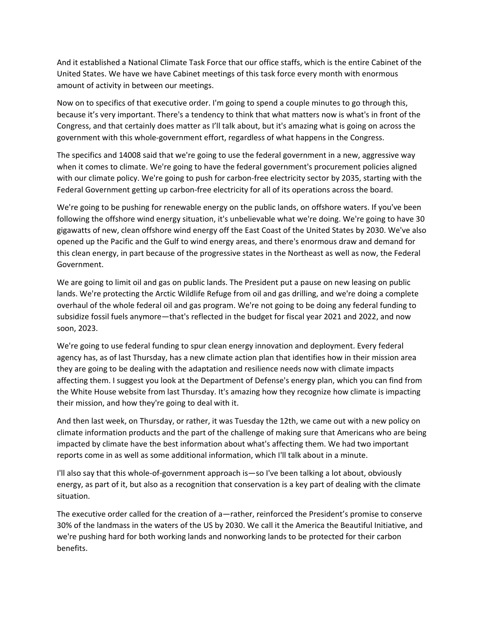And it established a National Climate Task Force that our office staffs, which is the entire Cabinet of the United States. We have we have Cabinet meetings of this task force every month with enormous amount of activity in between our meetings.

Now on to specifics of that executive order. I'm going to spend a couple minutes to go through this, because it's very important. There's a tendency to think that what matters now is what's in front of the Congress, and that certainly does matter as I'll talk about, but it's amazing what is going on across the government with this whole‐government effort, regardless of what happens in the Congress.

The specifics and 14008 said that we're going to use the federal government in a new, aggressive way when it comes to climate. We're going to have the federal government's procurement policies aligned with our climate policy. We're going to push for carbon-free electricity sector by 2035, starting with the Federal Government getting up carbon‐free electricity for all of its operations across the board.

We're going to be pushing for renewable energy on the public lands, on offshore waters. If you've been following the offshore wind energy situation, it's unbelievable what we're doing. We're going to have 30 gigawatts of new, clean offshore wind energy off the East Coast of the United States by 2030. We've also opened up the Pacific and the Gulf to wind energy areas, and there's enormous draw and demand for this clean energy, in part because of the progressive states in the Northeast as well as now, the Federal Government.

We are going to limit oil and gas on public lands. The President put a pause on new leasing on public lands. We're protecting the Arctic Wildlife Refuge from oil and gas drilling, and we're doing a complete overhaul of the whole federal oil and gas program. We're not going to be doing any federal funding to subsidize fossil fuels anymore—that's reflected in the budget for fiscal year 2021 and 2022, and now soon, 2023.

We're going to use federal funding to spur clean energy innovation and deployment. Every federal agency has, as of last Thursday, has a new climate action plan that identifies how in their mission area they are going to be dealing with the adaptation and resilience needs now with climate impacts affecting them. I suggest you look at the Department of Defense's energy plan, which you can find from the White House website from last Thursday. It's amazing how they recognize how climate is impacting their mission, and how they're going to deal with it.

And then last week, on Thursday, or rather, it was Tuesday the 12th, we came out with a new policy on climate information products and the part of the challenge of making sure that Americans who are being impacted by climate have the best information about what's affecting them. We had two important reports come in as well as some additional information, which I'll talk about in a minute.

I'll also say that this whole‐of‐government approach is—so I've been talking a lot about, obviously energy, as part of it, but also as a recognition that conservation is a key part of dealing with the climate situation.

The executive order called for the creation of a—rather, reinforced the President's promise to conserve 30% of the landmass in the waters of the US by 2030. We call it the America the Beautiful Initiative, and we're pushing hard for both working lands and nonworking lands to be protected for their carbon benefits.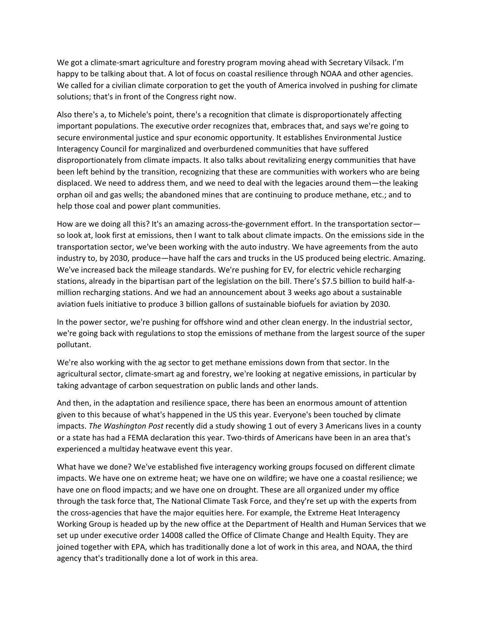We got a climate-smart agriculture and forestry program moving ahead with Secretary Vilsack. I'm happy to be talking about that. A lot of focus on coastal resilience through NOAA and other agencies. We called for a civilian climate corporation to get the youth of America involved in pushing for climate solutions; that's in front of the Congress right now.

Also there's a, to Michele's point, there's a recognition that climate is disproportionately affecting important populations. The executive order recognizes that, embraces that, and says we're going to secure environmental justice and spur economic opportunity. It establishes Environmental Justice Interagency Council for marginalized and overburdened communities that have suffered disproportionately from climate impacts. It also talks about revitalizing energy communities that have been left behind by the transition, recognizing that these are communities with workers who are being displaced. We need to address them, and we need to deal with the legacies around them—the leaking orphan oil and gas wells; the abandoned mines that are continuing to produce methane, etc.; and to help those coal and power plant communities.

How are we doing all this? It's an amazing across-the-government effort. In the transportation sector so look at, look first at emissions, then I want to talk about climate impacts. On the emissions side in the transportation sector, we've been working with the auto industry. We have agreements from the auto industry to, by 2030, produce—have half the cars and trucks in the US produced being electric. Amazing. We've increased back the mileage standards. We're pushing for EV, for electric vehicle recharging stations, already in the bipartisan part of the legislation on the bill. There's \$7.5 billion to build half‐a‐ million recharging stations. And we had an announcement about 3 weeks ago about a sustainable aviation fuels initiative to produce 3 billion gallons of sustainable biofuels for aviation by 2030.

In the power sector, we're pushing for offshore wind and other clean energy. In the industrial sector, we're going back with regulations to stop the emissions of methane from the largest source of the super pollutant.

We're also working with the ag sector to get methane emissions down from that sector. In the agricultural sector, climate‐smart ag and forestry, we're looking at negative emissions, in particular by taking advantage of carbon sequestration on public lands and other lands.

And then, in the adaptation and resilience space, there has been an enormous amount of attention given to this because of what's happened in the US this year. Everyone's been touched by climate impacts. *The Washington Post* recently did a study showing 1 out of every 3 Americans lives in a county or a state has had a FEMA declaration this year. Two‐thirds of Americans have been in an area that's experienced a multiday heatwave event this year.

What have we done? We've established five interagency working groups focused on different climate impacts. We have one on extreme heat; we have one on wildfire; we have one a coastal resilience; we have one on flood impacts; and we have one on drought. These are all organized under my office through the task force that, The National Climate Task Force, and they're set up with the experts from the cross-agencies that have the major equities here. For example, the Extreme Heat Interagency Working Group is headed up by the new office at the Department of Health and Human Services that we set up under executive order 14008 called the Office of Climate Change and Health Equity. They are joined together with EPA, which has traditionally done a lot of work in this area, and NOAA, the third agency that's traditionally done a lot of work in this area.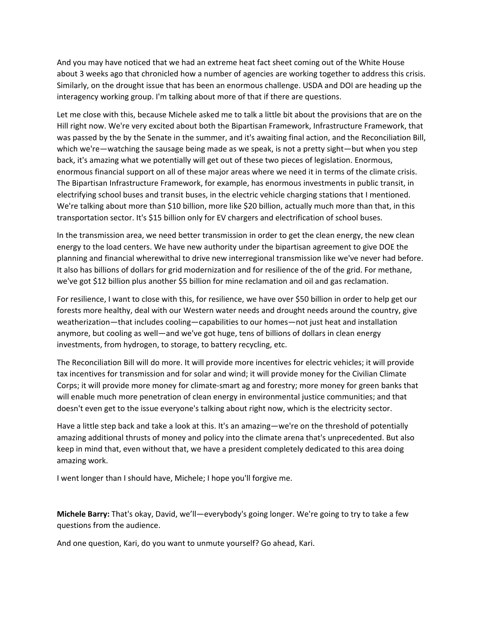And you may have noticed that we had an extreme heat fact sheet coming out of the White House about 3 weeks ago that chronicled how a number of agencies are working together to address this crisis. Similarly, on the drought issue that has been an enormous challenge. USDA and DOI are heading up the interagency working group. I'm talking about more of that if there are questions.

Let me close with this, because Michele asked me to talk a little bit about the provisions that are on the Hill right now. We're very excited about both the Bipartisan Framework, Infrastructure Framework, that was passed by the by the Senate in the summer, and it's awaiting final action, and the Reconciliation Bill, which we're—watching the sausage being made as we speak, is not a pretty sight—but when you step back, it's amazing what we potentially will get out of these two pieces of legislation. Enormous, enormous financial support on all of these major areas where we need it in terms of the climate crisis. The Bipartisan Infrastructure Framework, for example, has enormous investments in public transit, in electrifying school buses and transit buses, in the electric vehicle charging stations that I mentioned. We're talking about more than \$10 billion, more like \$20 billion, actually much more than that, in this transportation sector. It's \$15 billion only for EV chargers and electrification of school buses.

In the transmission area, we need better transmission in order to get the clean energy, the new clean energy to the load centers. We have new authority under the bipartisan agreement to give DOE the planning and financial wherewithal to drive new interregional transmission like we've never had before. It also has billions of dollars for grid modernization and for resilience of the of the grid. For methane, we've got \$12 billion plus another \$5 billion for mine reclamation and oil and gas reclamation.

For resilience, I want to close with this, for resilience, we have over \$50 billion in order to help get our forests more healthy, deal with our Western water needs and drought needs around the country, give weatherization—that includes cooling—capabilities to our homes—not just heat and installation anymore, but cooling as well—and we've got huge, tens of billions of dollars in clean energy investments, from hydrogen, to storage, to battery recycling, etc.

The Reconciliation Bill will do more. It will provide more incentives for electric vehicles; it will provide tax incentives for transmission and for solar and wind; it will provide money for the Civilian Climate Corps; it will provide more money for climate‐smart ag and forestry; more money for green banks that will enable much more penetration of clean energy in environmental justice communities; and that doesn't even get to the issue everyone's talking about right now, which is the electricity sector.

Have a little step back and take a look at this. It's an amazing—we're on the threshold of potentially amazing additional thrusts of money and policy into the climate arena that's unprecedented. But also keep in mind that, even without that, we have a president completely dedicated to this area doing amazing work.

I went longer than I should have, Michele; I hope you'll forgive me.

**Michele Barry:** That's okay, David, we'll—everybody's going longer. We're going to try to take a few questions from the audience.

And one question, Kari, do you want to unmute yourself? Go ahead, Kari.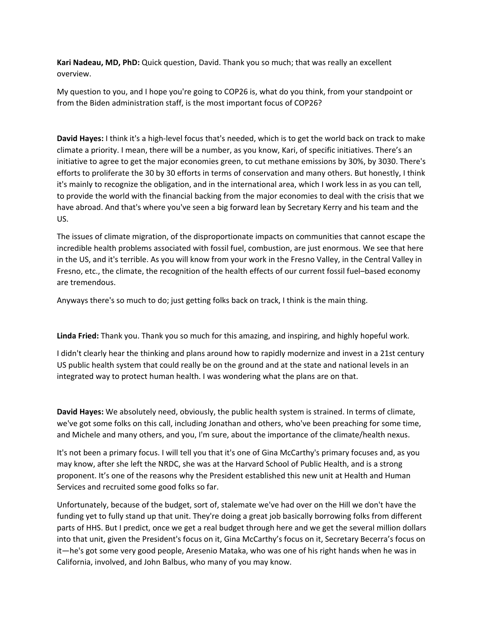**Kari Nadeau, MD, PhD:** Quick question, David. Thank you so much; that was really an excellent overview.

My question to you, and I hope you're going to COP26 is, what do you think, from your standpoint or from the Biden administration staff, is the most important focus of COP26?

**David Hayes:** I think it's a high‐level focus that's needed, which is to get the world back on track to make climate a priority. I mean, there will be a number, as you know, Kari, of specific initiatives. There's an initiative to agree to get the major economies green, to cut methane emissions by 30%, by 3030. There's efforts to proliferate the 30 by 30 efforts in terms of conservation and many others. But honestly, I think it's mainly to recognize the obligation, and in the international area, which I work less in as you can tell, to provide the world with the financial backing from the major economies to deal with the crisis that we have abroad. And that's where you've seen a big forward lean by Secretary Kerry and his team and the US.

The issues of climate migration, of the disproportionate impacts on communities that cannot escape the incredible health problems associated with fossil fuel, combustion, are just enormous. We see that here in the US, and it's terrible. As you will know from your work in the Fresno Valley, in the Central Valley in Fresno, etc., the climate, the recognition of the health effects of our current fossil fuel–based economy are tremendous.

Anyways there's so much to do; just getting folks back on track, I think is the main thing.

**Linda Fried:** Thank you. Thank you so much for this amazing, and inspiring, and highly hopeful work.

I didn't clearly hear the thinking and plans around how to rapidly modernize and invest in a 21st century US public health system that could really be on the ground and at the state and national levels in an integrated way to protect human health. I was wondering what the plans are on that.

**David Hayes:** We absolutely need, obviously, the public health system is strained. In terms of climate, we've got some folks on this call, including Jonathan and others, who've been preaching for some time, and Michele and many others, and you, I'm sure, about the importance of the climate/health nexus.

It's not been a primary focus. I will tell you that it's one of Gina McCarthy's primary focuses and, as you may know, after she left the NRDC, she was at the Harvard School of Public Health, and is a strong proponent. It's one of the reasons why the President established this new unit at Health and Human Services and recruited some good folks so far.

Unfortunately, because of the budget, sort of, stalemate we've had over on the Hill we don't have the funding yet to fully stand up that unit. They're doing a great job basically borrowing folks from different parts of HHS. But I predict, once we get a real budget through here and we get the several million dollars into that unit, given the President's focus on it, Gina McCarthy's focus on it, Secretary Becerra's focus on it—he's got some very good people, Aresenio Mataka, who was one of his right hands when he was in California, involved, and John Balbus, who many of you may know.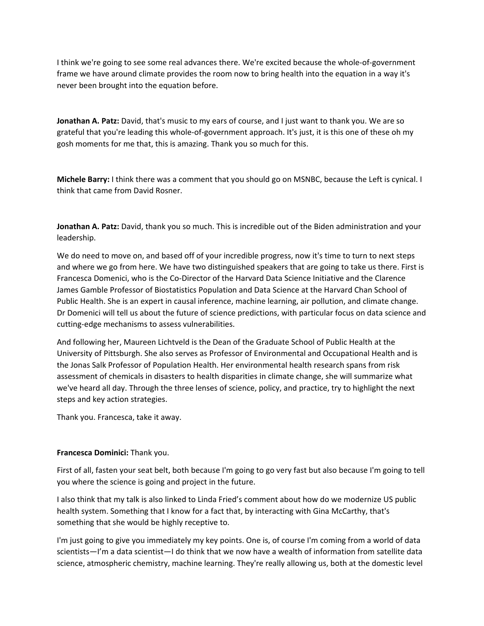I think we're going to see some real advances there. We're excited because the whole‐of‐government frame we have around climate provides the room now to bring health into the equation in a way it's never been brought into the equation before.

**Jonathan A. Patz:** David, that's music to my ears of course, and I just want to thank you. We are so grateful that you're leading this whole‐of‐government approach. It's just, it is this one of these oh my gosh moments for me that, this is amazing. Thank you so much for this.

**Michele Barry:** I think there was a comment that you should go on MSNBC, because the Left is cynical. I think that came from David Rosner.

**Jonathan A. Patz:** David, thank you so much. This is incredible out of the Biden administration and your leadership.

We do need to move on, and based off of your incredible progress, now it's time to turn to next steps and where we go from here. We have two distinguished speakers that are going to take us there. First is Francesca Domenici, who is the Co‐Director of the Harvard Data Science Initiative and the Clarence James Gamble Professor of Biostatistics Population and Data Science at the Harvard Chan School of Public Health. She is an expert in causal inference, machine learning, air pollution, and climate change. Dr Domenici will tell us about the future of science predictions, with particular focus on data science and cutting‐edge mechanisms to assess vulnerabilities.

And following her, Maureen Lichtveld is the Dean of the Graduate School of Public Health at the University of Pittsburgh. She also serves as Professor of Environmental and Occupational Health and is the Jonas Salk Professor of Population Health. Her environmental health research spans from risk assessment of chemicals in disasters to health disparities in climate change, she will summarize what we've heard all day. Through the three lenses of science, policy, and practice, try to highlight the next steps and key action strategies.

Thank you. Francesca, take it away.

### **Francesca Dominici:** Thank you.

First of all, fasten your seat belt, both because I'm going to go very fast but also because I'm going to tell you where the science is going and project in the future.

I also think that my talk is also linked to Linda Fried's comment about how do we modernize US public health system. Something that I know for a fact that, by interacting with Gina McCarthy, that's something that she would be highly receptive to.

I'm just going to give you immediately my key points. One is, of course I'm coming from a world of data scientists—I'm a data scientist—I do think that we now have a wealth of information from satellite data science, atmospheric chemistry, machine learning. They're really allowing us, both at the domestic level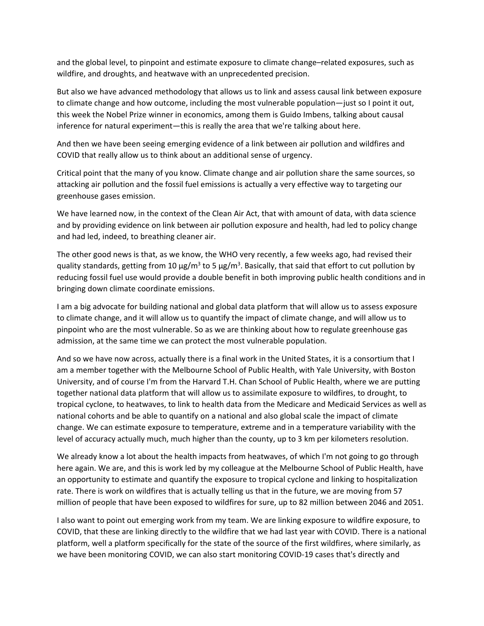and the global level, to pinpoint and estimate exposure to climate change–related exposures, such as wildfire, and droughts, and heatwave with an unprecedented precision.

But also we have advanced methodology that allows us to link and assess causal link between exposure to climate change and how outcome, including the most vulnerable population—just so I point it out, this week the Nobel Prize winner in economics, among them is Guido Imbens, talking about causal inference for natural experiment—this is really the area that we're talking about here.

And then we have been seeing emerging evidence of a link between air pollution and wildfires and COVID that really allow us to think about an additional sense of urgency.

Critical point that the many of you know. Climate change and air pollution share the same sources, so attacking air pollution and the fossil fuel emissions is actually a very effective way to targeting our greenhouse gases emission.

We have learned now, in the context of the Clean Air Act, that with amount of data, with data science and by providing evidence on link between air pollution exposure and health, had led to policy change and had led, indeed, to breathing cleaner air.

The other good news is that, as we know, the WHO very recently, a few weeks ago, had revised their quality standards, getting from 10 µg/m<sup>3</sup> to 5 µg/m<sup>3</sup>. Basically, that said that effort to cut pollution by reducing fossil fuel use would provide a double benefit in both improving public health conditions and in bringing down climate coordinate emissions.

I am a big advocate for building national and global data platform that will allow us to assess exposure to climate change, and it will allow us to quantify the impact of climate change, and will allow us to pinpoint who are the most vulnerable. So as we are thinking about how to regulate greenhouse gas admission, at the same time we can protect the most vulnerable population.

And so we have now across, actually there is a final work in the United States, it is a consortium that I am a member together with the Melbourne School of Public Health, with Yale University, with Boston University, and of course I'm from the Harvard T.H. Chan School of Public Health, where we are putting together national data platform that will allow us to assimilate exposure to wildfires, to drought, to tropical cyclone, to heatwaves, to link to health data from the Medicare and Medicaid Services as well as national cohorts and be able to quantify on a national and also global scale the impact of climate change. We can estimate exposure to temperature, extreme and in a temperature variability with the level of accuracy actually much, much higher than the county, up to 3 km per kilometers resolution.

We already know a lot about the health impacts from heatwaves, of which I'm not going to go through here again. We are, and this is work led by my colleague at the Melbourne School of Public Health, have an opportunity to estimate and quantify the exposure to tropical cyclone and linking to hospitalization rate. There is work on wildfires that is actually telling us that in the future, we are moving from 57 million of people that have been exposed to wildfires for sure, up to 82 million between 2046 and 2051.

I also want to point out emerging work from my team. We are linking exposure to wildfire exposure, to COVID, that these are linking directly to the wildfire that we had last year with COVID. There is a national platform, well a platform specifically for the state of the source of the first wildfires, where similarly, as we have been monitoring COVID, we can also start monitoring COVID‐19 cases that's directly and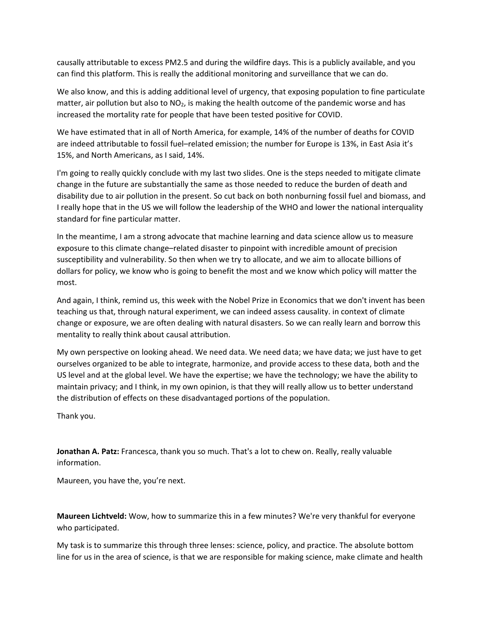causally attributable to excess PM2.5 and during the wildfire days. This is a publicly available, and you can find this platform. This is really the additional monitoring and surveillance that we can do.

We also know, and this is adding additional level of urgency, that exposing population to fine particulate matter, air pollution but also to  $NO<sub>2</sub>$ , is making the health outcome of the pandemic worse and has increased the mortality rate for people that have been tested positive for COVID.

We have estimated that in all of North America, for example, 14% of the number of deaths for COVID are indeed attributable to fossil fuel–related emission; the number for Europe is 13%, in East Asia it's 15%, and North Americans, as I said, 14%.

I'm going to really quickly conclude with my last two slides. One is the steps needed to mitigate climate change in the future are substantially the same as those needed to reduce the burden of death and disability due to air pollution in the present. So cut back on both nonburning fossil fuel and biomass, and I really hope that in the US we will follow the leadership of the WHO and lower the national interquality standard for fine particular matter.

In the meantime, I am a strong advocate that machine learning and data science allow us to measure exposure to this climate change–related disaster to pinpoint with incredible amount of precision susceptibility and vulnerability. So then when we try to allocate, and we aim to allocate billions of dollars for policy, we know who is going to benefit the most and we know which policy will matter the most.

And again, I think, remind us, this week with the Nobel Prize in Economics that we don't invent has been teaching us that, through natural experiment, we can indeed assess causality. in context of climate change or exposure, we are often dealing with natural disasters. So we can really learn and borrow this mentality to really think about causal attribution.

My own perspective on looking ahead. We need data. We need data; we have data; we just have to get ourselves organized to be able to integrate, harmonize, and provide access to these data, both and the US level and at the global level. We have the expertise; we have the technology; we have the ability to maintain privacy; and I think, in my own opinion, is that they will really allow us to better understand the distribution of effects on these disadvantaged portions of the population.

Thank you.

**Jonathan A. Patz:** Francesca, thank you so much. That's a lot to chew on. Really, really valuable information.

Maureen, you have the, you're next.

**Maureen Lichtveld:** Wow, how to summarize this in a few minutes? We're very thankful for everyone who participated.

My task is to summarize this through three lenses: science, policy, and practice. The absolute bottom line for us in the area of science, is that we are responsible for making science, make climate and health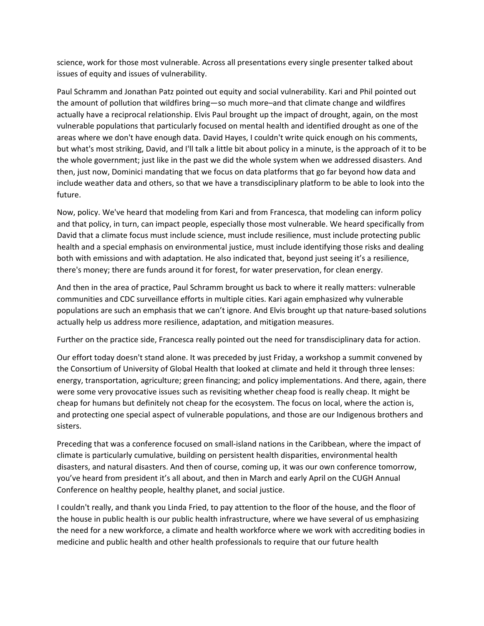science, work for those most vulnerable. Across all presentations every single presenter talked about issues of equity and issues of vulnerability.

Paul Schramm and Jonathan Patz pointed out equity and social vulnerability. Kari and Phil pointed out the amount of pollution that wildfires bring—so much more–and that climate change and wildfires actually have a reciprocal relationship. Elvis Paul brought up the impact of drought, again, on the most vulnerable populations that particularly focused on mental health and identified drought as one of the areas where we don't have enough data. David Hayes, I couldn't write quick enough on his comments, but what's most striking, David, and I'll talk a little bit about policy in a minute, is the approach of it to be the whole government; just like in the past we did the whole system when we addressed disasters. And then, just now, Dominici mandating that we focus on data platforms that go far beyond how data and include weather data and others, so that we have a transdisciplinary platform to be able to look into the future.

Now, policy. We've heard that modeling from Kari and from Francesca, that modeling can inform policy and that policy, in turn, can impact people, especially those most vulnerable. We heard specifically from David that a climate focus must include science, must include resilience, must include protecting public health and a special emphasis on environmental justice, must include identifying those risks and dealing both with emissions and with adaptation. He also indicated that, beyond just seeing it's a resilience, there's money; there are funds around it for forest, for water preservation, for clean energy.

And then in the area of practice, Paul Schramm brought us back to where it really matters: vulnerable communities and CDC surveillance efforts in multiple cities. Kari again emphasized why vulnerable populations are such an emphasis that we can't ignore. And Elvis brought up that nature‐based solutions actually help us address more resilience, adaptation, and mitigation measures.

Further on the practice side, Francesca really pointed out the need for transdisciplinary data for action.

Our effort today doesn't stand alone. It was preceded by just Friday, a workshop a summit convened by the Consortium of University of Global Health that looked at climate and held it through three lenses: energy, transportation, agriculture; green financing; and policy implementations. And there, again, there were some very provocative issues such as revisiting whether cheap food is really cheap. It might be cheap for humans but definitely not cheap for the ecosystem. The focus on local, where the action is, and protecting one special aspect of vulnerable populations, and those are our Indigenous brothers and sisters.

Preceding that was a conference focused on small‐island nations in the Caribbean, where the impact of climate is particularly cumulative, building on persistent health disparities, environmental health disasters, and natural disasters. And then of course, coming up, it was our own conference tomorrow, you've heard from president it's all about, and then in March and early April on the CUGH Annual Conference on healthy people, healthy planet, and social justice.

I couldn't really, and thank you Linda Fried, to pay attention to the floor of the house, and the floor of the house in public health is our public health infrastructure, where we have several of us emphasizing the need for a new workforce, a climate and health workforce where we work with accrediting bodies in medicine and public health and other health professionals to require that our future health